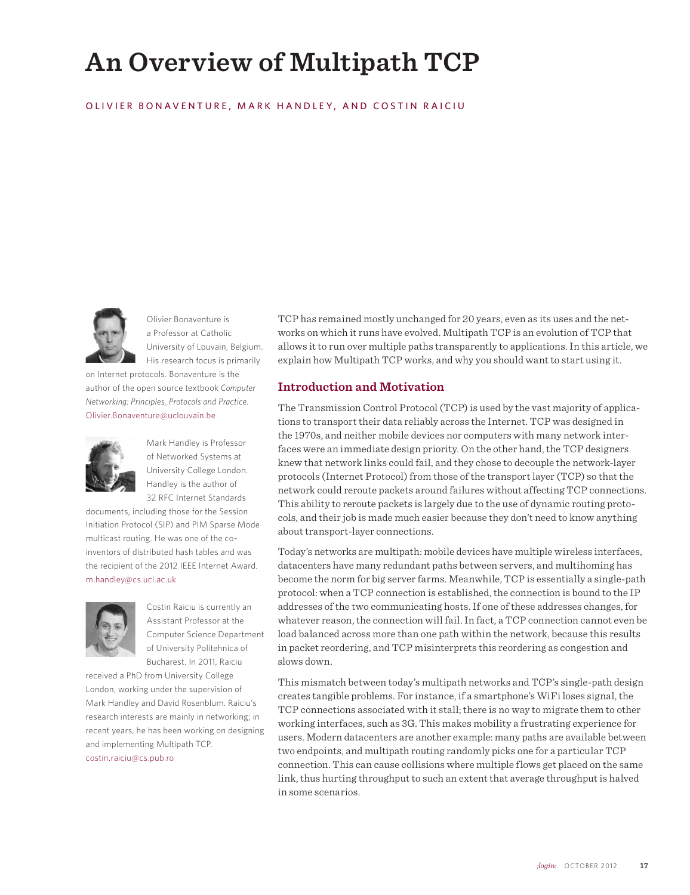# **An Overview of Multipath TCP**

### OLIVIER BONAVENTURE, MARK HANDLEY, AND COSTIN RAICIU



Olivier Bonaventure is a Professor at Catholic University of Louvain, Belgium. His research focus is primarily

on Internet protocols. Bonaventure is the author of the open source textbook *Computer Networking: Principles, Protocols and Practice.* Olivier.Bonaventure@uclouvain.be



Mark Handley is Professor of Networked Systems at University College London. Handley is the author of 32 RFC Internet Standards

documents, including those for the Session Initiation Protocol (SIP) and PIM Sparse Mode multicast routing. He was one of the coinventors of distributed hash tables and was the recipient of the 2012 IEEE Internet Award. m.handley@cs.ucl.ac.uk



Costin Raiciu is currently an Assistant Professor at the Computer Science Department of University Politehnica of Bucharest. In 2011, Raiciu

received a PhD from University College London, working under the supervision of Mark Handley and David Rosenblum. Raiciu's research interests are mainly in networking; in recent years, he has been working on designing and implementing Multipath TCP. costin.raiciu@cs.pub.ro

TCP has remained mostly unchanged for 20 years, even as its uses and the networks on which it runs have evolved. Multipath TCP is an evolution of TCP that allows it to run over multiple paths transparently to applications. In this article, we explain how Multipath TCP works, and why you should want to start using it.

#### **Introduction and Motivation**

The Transmission Control Protocol (TCP) is used by the vast majority of applications to transport their data reliably across the Internet. TCP was designed in the 1970s, and neither mobile devices nor computers with many network interfaces were an immediate design priority. On the other hand, the TCP designers knew that network links could fail, and they chose to decouple the network-layer protocols (Internet Protocol) from those of the transport layer (TCP) so that the network could reroute packets around failures without affecting TCP connections. This ability to reroute packets is largely due to the use of dynamic routing protocols, and their job is made much easier because they don't need to know anything about transport-layer connections.

Today's networks are multipath: mobile devices have multiple wireless interfaces, datacenters have many redundant paths between servers, and multihoming has become the norm for big server farms. Meanwhile, TCP is essentially a single-path protocol: when a TCP connection is established, the connection is bound to the IP addresses of the two communicating hosts. If one of these addresses changes, for whatever reason, the connection will fail. In fact, a TCP connection cannot even be load balanced across more than one path within the network, because this results in packet reordering, and TCP misinterprets this reordering as congestion and slows down.

This mismatch between today's multipath networks and TCP's single-path design creates tangible problems. For instance, if a smartphone's WiFi loses signal, the TCP connections associated with it stall; there is no way to migrate them to other working interfaces, such as 3G. This makes mobility a frustrating experience for users. Modern datacenters are another example: many paths are available between two endpoints, and multipath routing randomly picks one for a particular TCP connection. This can cause collisions where multiple flows get placed on the same link, thus hurting throughput to such an extent that average throughput is halved in some scenarios.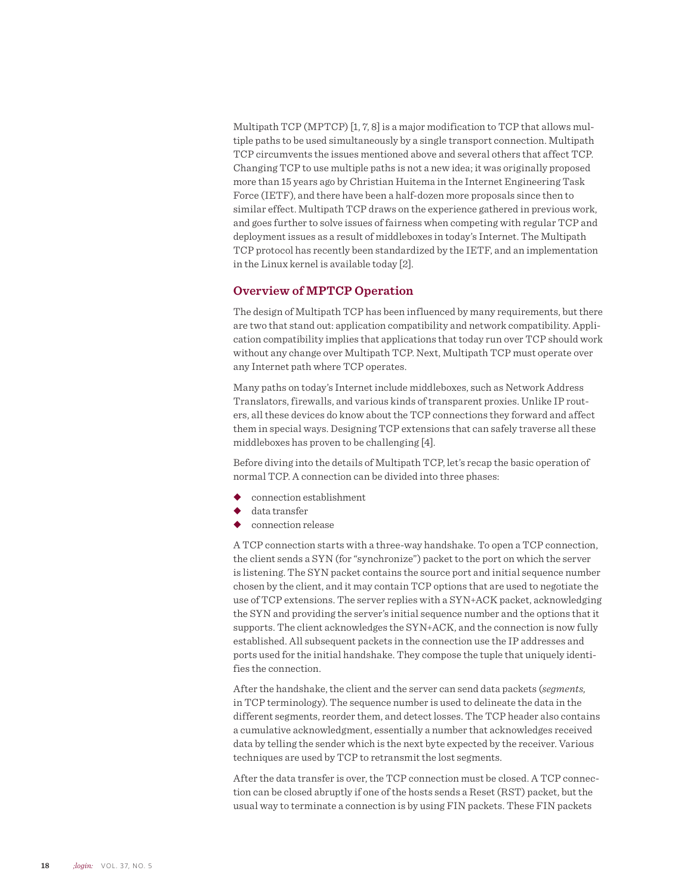Multipath TCP (MPTCP) [1, 7, 8] is a major modification to TCP that allows multiple paths to be used simultaneously by a single transport connection. Multipath TCP circumvents the issues mentioned above and several others that affect TCP. Changing TCP to use multiple paths is not a new idea; it was originally proposed more than 15 years ago by Christian Huitema in the Internet Engineering Task Force (IETF), and there have been a half-dozen more proposals since then to similar effect. Multipath TCP draws on the experience gathered in previous work, and goes further to solve issues of fairness when competing with regular TCP and deployment issues as a result of middleboxes in today's Internet. The Multipath TCP protocol has recently been standardized by the IETF, and an implementation in the Linux kernel is available today [2].

#### **Overview of MPTCP Operation**

The design of Multipath TCP has been influenced by many requirements, but there are two that stand out: application compatibility and network compatibility. Application compatibility implies that applications that today run over TCP should work without any change over Multipath TCP. Next, Multipath TCP must operate over any Internet path where TCP operates.

Many paths on today's Internet include middleboxes, such as Network Address Translators, firewalls, and various kinds of transparent proxies. Unlike IP routers, all these devices do know about the TCP connections they forward and affect them in special ways. Designing TCP extensions that can safely traverse all these middleboxes has proven to be challenging [4].

Before diving into the details of Multipath TCP, let's recap the basic operation of normal TCP. A connection can be divided into three phases:

- connection establishment
- data transfer
- connection release

A TCP connection starts with a three-way handshake. To open a TCP connection, the client sends a SYN (for "synchronize") packet to the port on which the server is listening. The SYN packet contains the source port and initial sequence number chosen by the client, and it may contain TCP options that are used to negotiate the use of TCP extensions. The server replies with a SYN+ACK packet, acknowledging the SYN and providing the server's initial sequence number and the options that it supports. The client acknowledges the SYN+ACK, and the connection is now fully established. All subsequent packets in the connection use the IP addresses and ports used for the initial handshake. They compose the tuple that uniquely identifies the connection.

After the handshake, the client and the server can send data packets (*segments,* in TCP terminology). The sequence number is used to delineate the data in the different segments, reorder them, and detect losses. The TCP header also contains a cumulative acknowledgment, essentially a number that acknowledges received data by telling the sender which is the next byte expected by the receiver. Various techniques are used by TCP to retransmit the lost segments.

After the data transfer is over, the TCP connection must be closed. A TCP connection can be closed abruptly if one of the hosts sends a Reset (RST) packet, but the usual way to terminate a connection is by using FIN packets. These FIN packets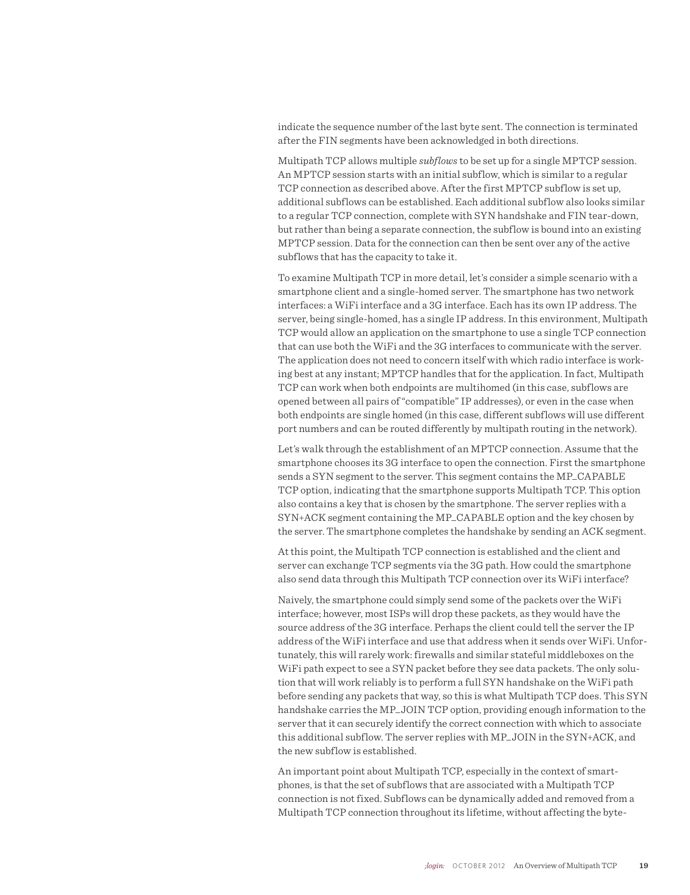indicate the sequence number of the last byte sent. The connection is terminated after the FIN segments have been acknowledged in both directions.

Multipath TCP allows multiple *subflows* to be set up for a single MPTCP session. An MPTCP session starts with an initial subflow, which is similar to a regular TCP connection as described above. After the first MPTCP subflow is set up, additional subflows can be established. Each additional subflow also looks similar to a regular TCP connection, complete with SYN handshake and FIN tear-down, but rather than being a separate connection, the subflow is bound into an existing MPTCP session. Data for the connection can then be sent over any of the active subflows that has the capacity to take it.

To examine Multipath TCP in more detail, let's consider a simple scenario with a smartphone client and a single-homed server. The smartphone has two network interfaces: a WiFi interface and a 3G interface. Each has its own IP address. The server, being single-homed, has a single IP address. In this environment, Multipath TCP would allow an application on the smartphone to use a single TCP connection that can use both the WiFi and the 3G interfaces to communicate with the server. The application does not need to concern itself with which radio interface is working best at any instant; MPTCP handles that for the application. In fact, Multipath TCP can work when both endpoints are multihomed (in this case, subflows are opened between all pairs of "compatible" IP addresses), or even in the case when both endpoints are single homed (in this case, different subflows will use different port numbers and can be routed differently by multipath routing in the network).

Let's walk through the establishment of an MPTCP connection. Assume that the smartphone chooses its 3G interface to open the connection. First the smartphone sends a SYN segment to the server. This segment contains the MP\_CAPABLE TCP option, indicating that the smartphone supports Multipath TCP. This option also contains a key that is chosen by the smartphone. The server replies with a SYN+ACK segment containing the MP\_CAPABLE option and the key chosen by the server. The smartphone completes the handshake by sending an ACK segment.

At this point, the Multipath TCP connection is established and the client and server can exchange TCP segments via the 3G path. How could the smartphone also send data through this Multipath TCP connection over its WiFi interface?

Naively, the smartphone could simply send some of the packets over the WiFi interface; however, most ISPs will drop these packets, as they would have the source address of the 3G interface. Perhaps the client could tell the server the IP address of the WiFi interface and use that address when it sends over WiFi. Unfortunately, this will rarely work: firewalls and similar stateful middleboxes on the WiFi path expect to see a SYN packet before they see data packets. The only solution that will work reliably is to perform a full SYN handshake on the WiFi path before sending any packets that way, so this is what Multipath TCP does. This SYN handshake carries the MP\_JOIN TCP option, providing enough information to the server that it can securely identify the correct connection with which to associate this additional subflow. The server replies with MP\_JOIN in the SYN+ACK, and the new subflow is established.

An important point about Multipath TCP, especially in the context of smartphones, is that the set of subflows that are associated with a Multipath TCP connection is not fixed. Subflows can be dynamically added and removed from a Multipath TCP connection throughout its lifetime, without affecting the byte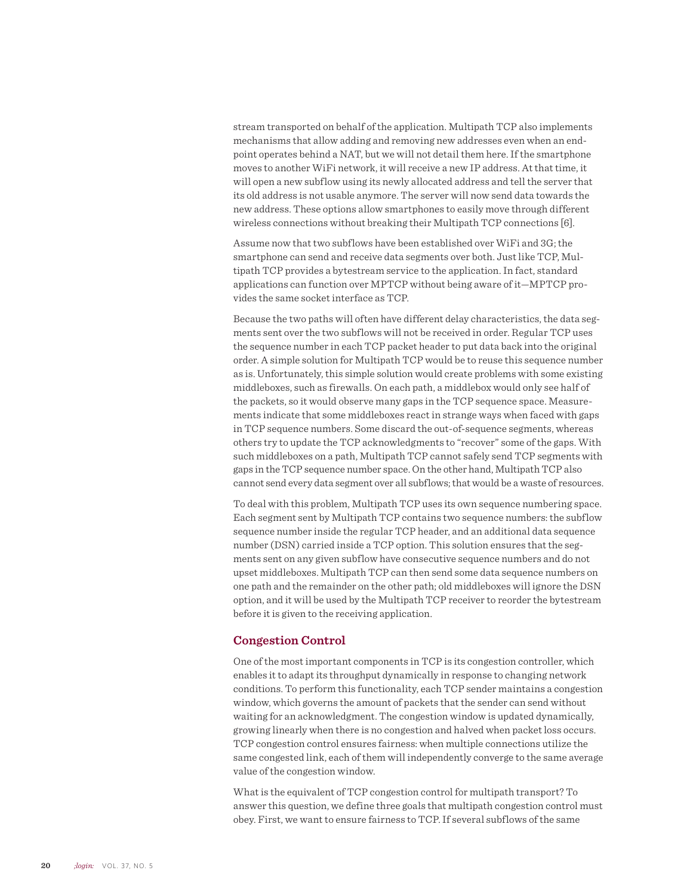stream transported on behalf of the application. Multipath TCP also implements mechanisms that allow adding and removing new addresses even when an endpoint operates behind a NAT, but we will not detail them here. If the smartphone moves to another WiFi network, it will receive a new IP address. At that time, it will open a new subflow using its newly allocated address and tell the server that its old address is not usable anymore. The server will now send data towards the new address. These options allow smartphones to easily move through different wireless connections without breaking their Multipath TCP connections [6].

Assume now that two subflows have been established over WiFi and 3G; the smartphone can send and receive data segments over both. Just like TCP, Multipath TCP provides a bytestream service to the application. In fact, standard applications can function over MPTCP without being aware of it—MPTCP provides the same socket interface as TCP.

Because the two paths will often have different delay characteristics, the data segments sent over the two subflows will not be received in order. Regular TCP uses the sequence number in each TCP packet header to put data back into the original order. A simple solution for Multipath TCP would be to reuse this sequence number as is. Unfortunately, this simple solution would create problems with some existing middleboxes, such as firewalls. On each path, a middlebox would only see half of the packets, so it would observe many gaps in the TCP sequence space. Measurements indicate that some middleboxes react in strange ways when faced with gaps in TCP sequence numbers. Some discard the out-of-sequence segments, whereas others try to update the TCP acknowledgments to "recover" some of the gaps. With such middleboxes on a path, Multipath TCP cannot safely send TCP segments with gaps in the TCP sequence number space. On the other hand, Multipath TCP also cannot send every data segment over all subflows; that would be a waste of resources.

To deal with this problem, Multipath TCP uses its own sequence numbering space. Each segment sent by Multipath TCP contains two sequence numbers: the subflow sequence number inside the regular TCP header, and an additional data sequence number (DSN) carried inside a TCP option. This solution ensures that the segments sent on any given subflow have consecutive sequence numbers and do not upset middleboxes. Multipath TCP can then send some data sequence numbers on one path and the remainder on the other path; old middleboxes will ignore the DSN option, and it will be used by the Multipath TCP receiver to reorder the bytestream before it is given to the receiving application.

#### **Congestion Control**

One of the most important components in TCP is its congestion controller, which enables it to adapt its throughput dynamically in response to changing network conditions. To perform this functionality, each TCP sender maintains a congestion window, which governs the amount of packets that the sender can send without waiting for an acknowledgment. The congestion window is updated dynamically, growing linearly when there is no congestion and halved when packet loss occurs. TCP congestion control ensures fairness: when multiple connections utilize the same congested link, each of them will independently converge to the same average value of the congestion window.

What is the equivalent of TCP congestion control for multipath transport? To answer this question, we define three goals that multipath congestion control must obey. First, we want to ensure fairness to TCP. If several subflows of the same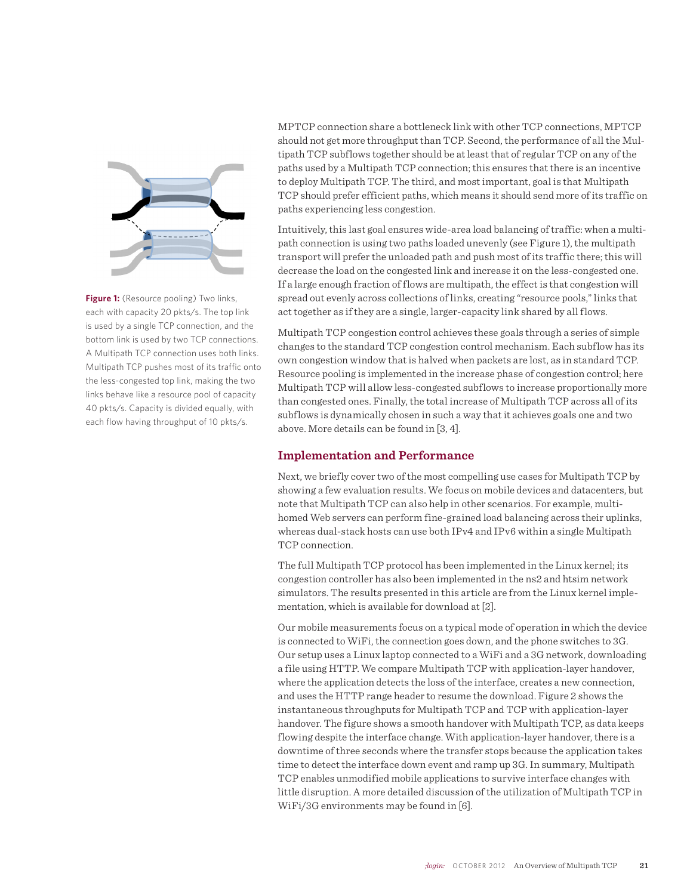

**Figure 1:** (Resource pooling) Two links, each with capacity 20 pkts/s. The top link is used by a single TCP connection, and the bottom link is used by two TCP connections. A Multipath TCP connection uses both links. Multipath TCP pushes most of its traffic onto the less-congested top link, making the two links behave like a resource pool of capacity 40 pkts/s. Capacity is divided equally, with each flow having throughput of 10 pkts/s.

MPTCP connection share a bottleneck link with other TCP connections, MPTCP should not get more throughput than TCP. Second, the performance of all the Multipath TCP subflows together should be at least that of regular TCP on any of the paths used by a Multipath TCP connection; this ensures that there is an incentive to deploy Multipath TCP. The third, and most important, goal is that Multipath TCP should prefer efficient paths, which means it should send more of its traffic on paths experiencing less congestion.

Intuitively, this last goal ensures wide-area load balancing of traffic: when a multipath connection is using two paths loaded unevenly (see Figure 1), the multipath transport will prefer the unloaded path and push most of its traffic there; this will decrease the load on the congested link and increase it on the less-congested one. If a large enough fraction of flows are multipath, the effect is that congestion will spread out evenly across collections of links, creating "resource pools," links that act together as if they are a single, larger-capacity link shared by all flows.

Multipath TCP congestion control achieves these goals through a series of simple changes to the standard TCP congestion control mechanism. Each subflow has its own congestion window that is halved when packets are lost, as in standard TCP. Resource pooling is implemented in the increase phase of congestion control; here Multipath TCP will allow less-congested subflows to increase proportionally more than congested ones. Finally, the total increase of Multipath TCP across all of its subflows is dynamically chosen in such a way that it achieves goals one and two above. More details can be found in [3, 4].

## **Implementation and Performance**

Next, we briefly cover two of the most compelling use cases for Multipath TCP by showing a few evaluation results. We focus on mobile devices and datacenters, but note that Multipath TCP can also help in other scenarios. For example, multihomed Web servers can perform fine-grained load balancing across their uplinks, whereas dual-stack hosts can use both IPv4 and IPv6 within a single Multipath TCP connection.

The full Multipath TCP protocol has been implemented in the Linux kernel; its congestion controller has also been implemented in the ns2 and htsim network simulators. The results presented in this article are from the Linux kernel implementation, which is available for download at [2].

Our mobile measurements focus on a typical mode of operation in which the device is connected to WiFi, the connection goes down, and the phone switches to 3G. Our setup uses a Linux laptop connected to a WiFi and a 3G network, downloading a file using HTTP. We compare Multipath TCP with application-layer handover, where the application detects the loss of the interface, creates a new connection, and uses the HTTP range header to resume the download. Figure 2 shows the instantaneous throughputs for Multipath TCP and TCP with application-layer handover. The figure shows a smooth handover with Multipath TCP, as data keeps flowing despite the interface change. With application-layer handover, there is a downtime of three seconds where the transfer stops because the application takes time to detect the interface down event and ramp up 3G. In summary, Multipath TCP enables unmodified mobile applications to survive interface changes with little disruption. A more detailed discussion of the utilization of Multipath TCP in WiFi/3G environments may be found in [6].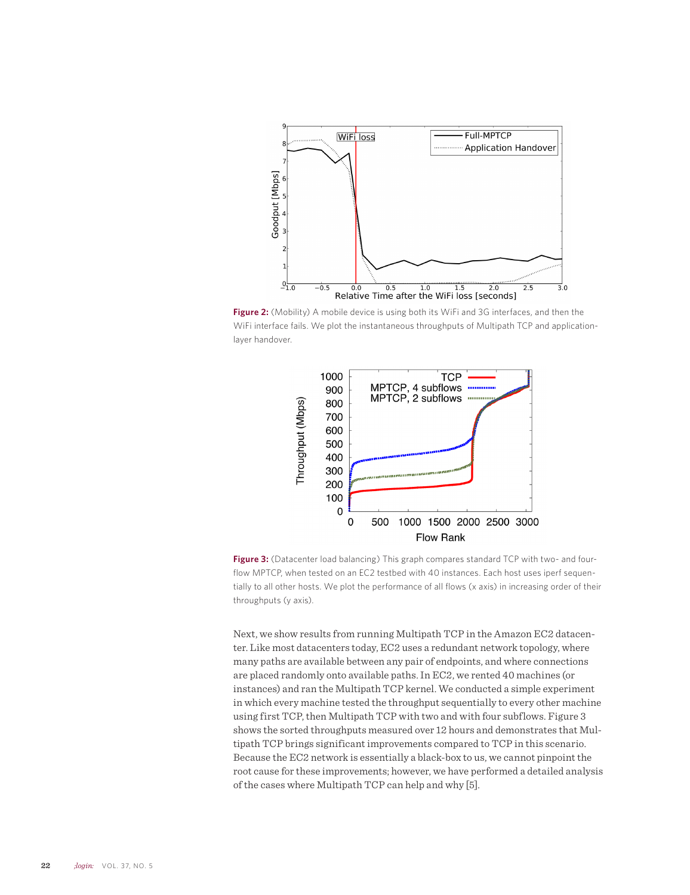

**Figure 2:** (Mobility) A mobile device is using both its WiFi and 3G interfaces, and then the WiFi interface fails. We plot the instantaneous throughputs of Multipath TCP and applicationlayer handover.



**Figure 3:** (Datacenter load balancing) This graph compares standard TCP with two- and fourflow MPTCP, when tested on an EC2 testbed with 40 instances. Each host uses iperf sequentially to all other hosts. We plot the performance of all flows (x axis) in increasing order of their throughputs (y axis).

Next, we show results from running Multipath TCP in the Amazon EC2 datacenter. Like most datacenters today, EC2 uses a redundant network topology, where many paths are available between any pair of endpoints, and where connections are placed randomly onto available paths. In EC2, we rented 40 machines (or instances) and ran the Multipath TCP kernel. We conducted a simple experiment in which every machine tested the throughput sequentially to every other machine using first TCP, then Multipath TCP with two and with four subflows. Figure 3 shows the sorted throughputs measured over 12 hours and demonstrates that Multipath TCP brings significant improvements compared to TCP in this scenario. Because the EC2 network is essentially a black-box to us, we cannot pinpoint the root cause for these improvements; however, we have performed a detailed analysis of the cases where Multipath TCP can help and why [5].